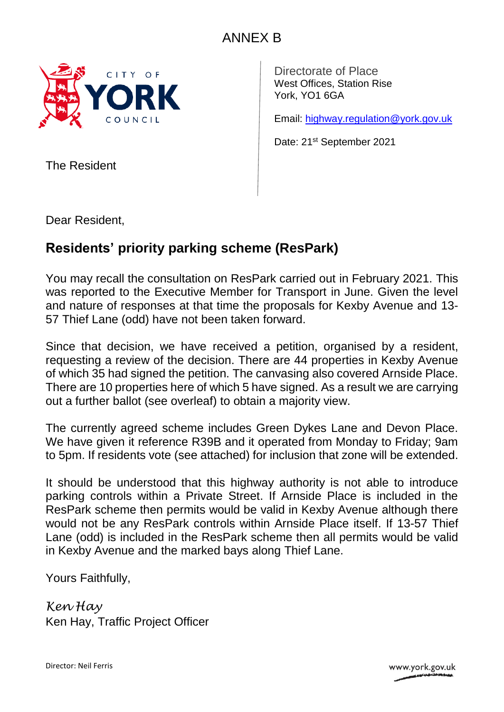

Directorate of Place West Offices, Station Rise York, YO1 6GA

Email: [highway.regulation@york.gov.uk](mailto:highway.regulation@york.gov.uk)

Date: 21<sup>st</sup> September 2021

The Resident

Dear Resident,

## **Residents' priority parking scheme (ResPark)**

You may recall the consultation on ResPark carried out in February 2021. This was reported to the Executive Member for Transport in June. Given the level and nature of responses at that time the proposals for Kexby Avenue and 13- 57 Thief Lane (odd) have not been taken forward.

Since that decision, we have received a petition, organised by a resident, requesting a review of the decision. There are 44 properties in Kexby Avenue of which 35 had signed the petition. The canvasing also covered Arnside Place. There are 10 properties here of which 5 have signed. As a result we are carrying out a further ballot (see overleaf) to obtain a majority view.

The currently agreed scheme includes Green Dykes Lane and Devon Place. We have given it reference R39B and it operated from Monday to Friday; 9am to 5pm. If residents vote (see attached) for inclusion that zone will be extended.

It should be understood that this highway authority is not able to introduce parking controls within a Private Street. If Arnside Place is included in the ResPark scheme then permits would be valid in Kexby Avenue although there would not be any ResPark controls within Arnside Place itself. If 13-57 Thief Lane (odd) is included in the ResPark scheme then all permits would be valid in Kexby Avenue and the marked bays along Thief Lane.

Yours Faithfully,

*Ken Hay* Ken Hay, Traffic Project Officer

Director: Neil Ferris